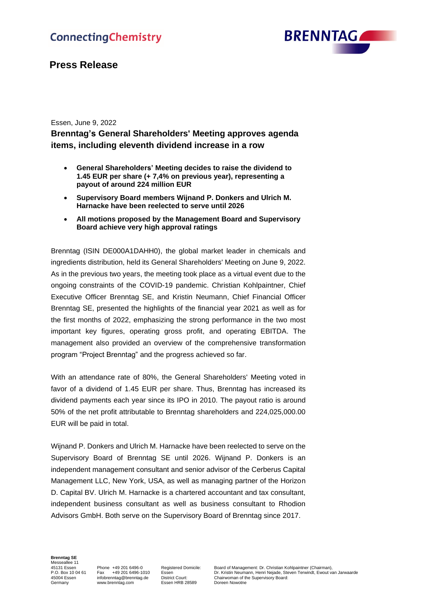

# **Press Release**

## Essen, June 9, 2022

# **Brenntag's General Shareholders' Meeting approves agenda items, including eleventh dividend increase in a row**

- **General Shareholders' Meeting decides to raise the dividend to 1.45 EUR per share (+ 7,4% on previous year), representing a payout of around 224 million EUR**
- **Supervisory Board members Wijnand P. Donkers and Ulrich M. Harnacke have been reelected to serve until 2026**
- **All motions proposed by the Management Board and Supervisory Board achieve very high approval ratings**

Brenntag (ISIN DE000A1DAHH0), the global market leader in chemicals and ingredients distribution, held its General Shareholders' Meeting on June 9, 2022. As in the previous two years, the meeting took place as a virtual event due to the ongoing constraints of the COVID-19 pandemic. Christian Kohlpaintner, Chief Executive Officer Brenntag SE, and Kristin Neumann, Chief Financial Officer Brenntag SE, presented the highlights of the financial year 2021 as well as for the first months of 2022, emphasizing the strong performance in the two most important key figures, operating gross profit, and operating EBITDA. The management also provided an overview of the comprehensive transformation program "Project Brenntag" and the progress achieved so far.

With an attendance rate of 80%, the General Shareholders' Meeting voted in favor of a dividend of 1.45 EUR per share. Thus, Brenntag has increased its dividend payments each year since its IPO in 2010. The payout ratio is around 50% of the net profit attributable to Brenntag shareholders and 224,025,000.00 EUR will be paid in total.

Wijnand P. Donkers and Ulrich M. Harnacke have been reelected to serve on the Supervisory Board of Brenntag SE until 2026. Wijnand P. Donkers is an independent management consultant and senior advisor of the Cerberus Capital Management LLC, New York, USA, as well as managing partner of the Horizon D. Capital BV. Ulrich M. Harnacke is a chartered accountant and tax consultant, independent business consultant as well as business consultant to Rhodion Advisors GmbH. Both serve on the Supervisory Board of Brenntag since 2017.

### **Brenntag SE** Messeallee 11

Essen HRB 28589